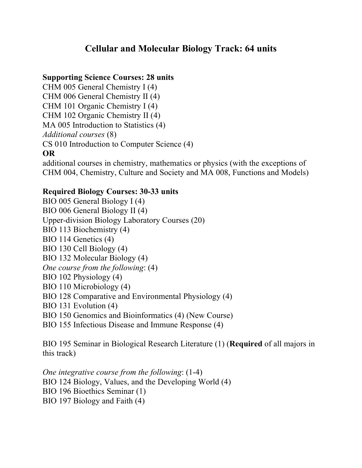## **Cellular and Molecular Biology Track: 64 units**

## **Supporting Science Courses: 28 units**

CHM 005 General Chemistry I (4) CHM 006 General Chemistry II (4) CHM 101 Organic Chemistry I (4) CHM 102 Organic Chemistry II (4) MA 005 Introduction to Statistics (4) *Additional courses* (8) CS 010 Introduction to Computer Science (4) **OR**

additional courses in chemistry, mathematics or physics (with the exceptions of CHM 004, Chemistry, Culture and Society and MA 008, Functions and Models)

## **Required Biology Courses: 30-33 units**

BIO 005 General Biology I (4) BIO 006 General Biology II (4) Upper-division Biology Laboratory Courses (20) BIO 113 Biochemistry (4) BIO 114 Genetics (4) BIO 130 Cell Biology (4) BIO 132 Molecular Biology (4) *One course from the following*: (4) BIO 102 Physiology (4) BIO 110 Microbiology (4) BIO 128 Comparative and Environmental Physiology (4) BIO 131 Evolution (4)

- BIO 150 Genomics and Bioinformatics (4) (New Course)
- BIO 155 Infectious Disease and Immune Response (4)

BIO 195 Seminar in Biological Research Literature (1) (**Required** of all majors in this track)

*One integrative course from the following*: (1-4) BIO 124 Biology, Values, and the Developing World (4) BIO 196 Bioethics Seminar (1) BIO 197 Biology and Faith (4)